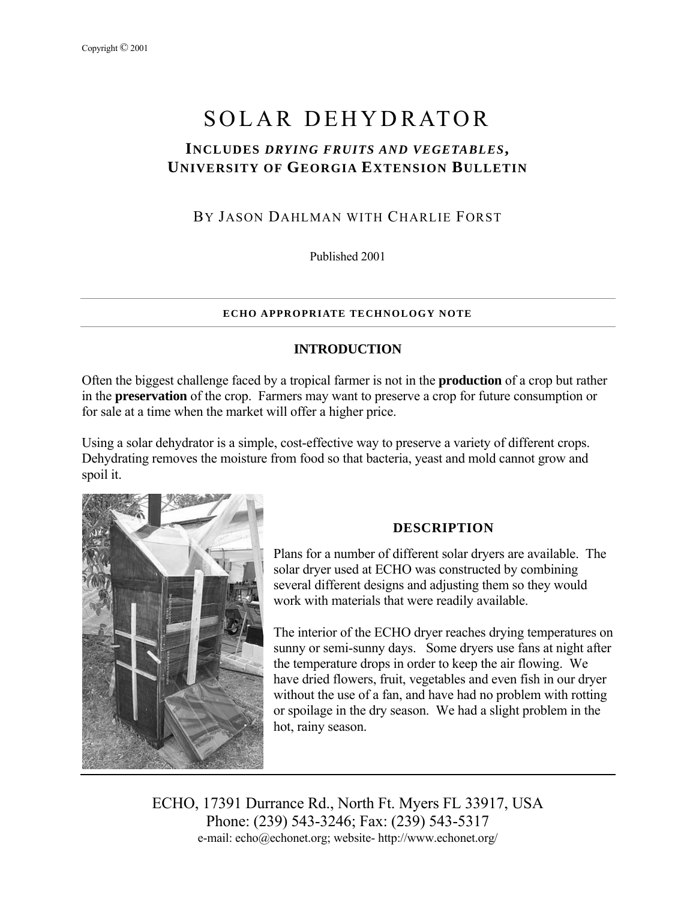# SOLAR DEHYDRATOR

# **INCLUDES** *DRYING FRUITS AND VEGETABLES***, UNIVERSITY OF GEORGIA EXTENSION BULLETIN**

# BY JASON DAHLMAN WITH CHARLIE FORST

Published 2001

#### **ECHO APPROPRIATE TECHNOLOGY NOTE**

## **INTRODUCTION**

Often the biggest challenge faced by a tropical farmer is not in the **production** of a crop but rather in the **preservation** of the crop. Farmers may want to preserve a crop for future consumption or for sale at a time when the market will offer a higher price.

Using a solar dehydrator is a simple, cost-effective way to preserve a variety of different crops. Dehydrating removes the moisture from food so that bacteria, yeast and mold cannot grow and spoil it.



# **DESCRIPTION**

Plans for a number of different solar dryers are available. The solar dryer used at ECHO was constructed by combining several different designs and adjusting them so they would work with materials that were readily available.

The interior of the ECHO dryer reaches drying temperatures on sunny or semi-sunny days. Some dryers use fans at night after the temperature drops in order to keep the air flowing. We have dried flowers, fruit, vegetables and even fish in our dryer without the use of a fan, and have had no problem with rotting or spoilage in the dry season. We had a slight problem in the hot, rainy season.

ECHO, 17391 Durrance Rd., North Ft. Myers FL 33917, USA Phone: (239) 543-3246; Fax: (239) 543-5317 e-mail: echo@echonet.org; website- http://www.echonet.org/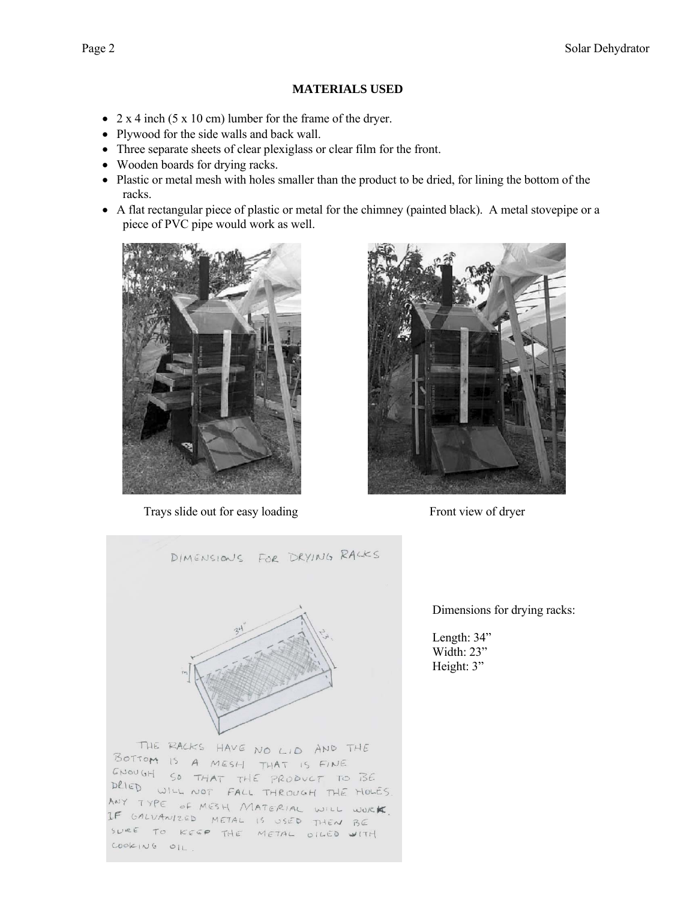#### **MATERIALS USED**

- 2 x 4 inch (5 x 10 cm) lumber for the frame of the dryer.
- Plywood for the side walls and back wall.
- Three separate sheets of clear plexiglass or clear film for the front.
- Wooden boards for drying racks.
- Plastic or metal mesh with holes smaller than the product to be dried, for lining the bottom of the racks.
- A flat rectangular piece of plastic or metal for the chimney (painted black). A metal stovepipe or a piece of PVC pipe would work as well.



Trays slide out for easy loading Front view of dryer





Dimensions for drying racks:

Length: 34" Width: 23" Height: 3"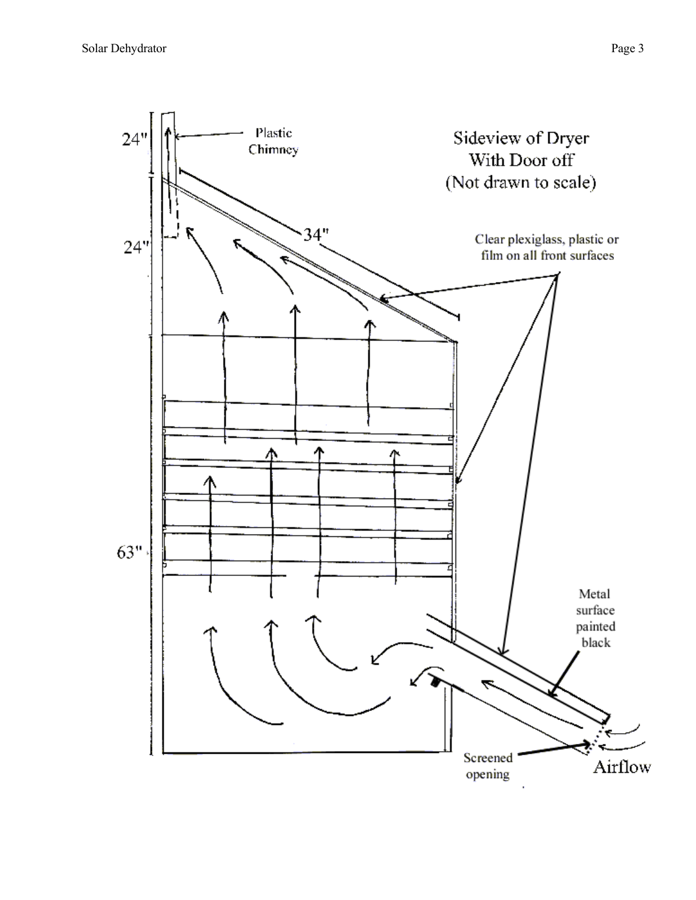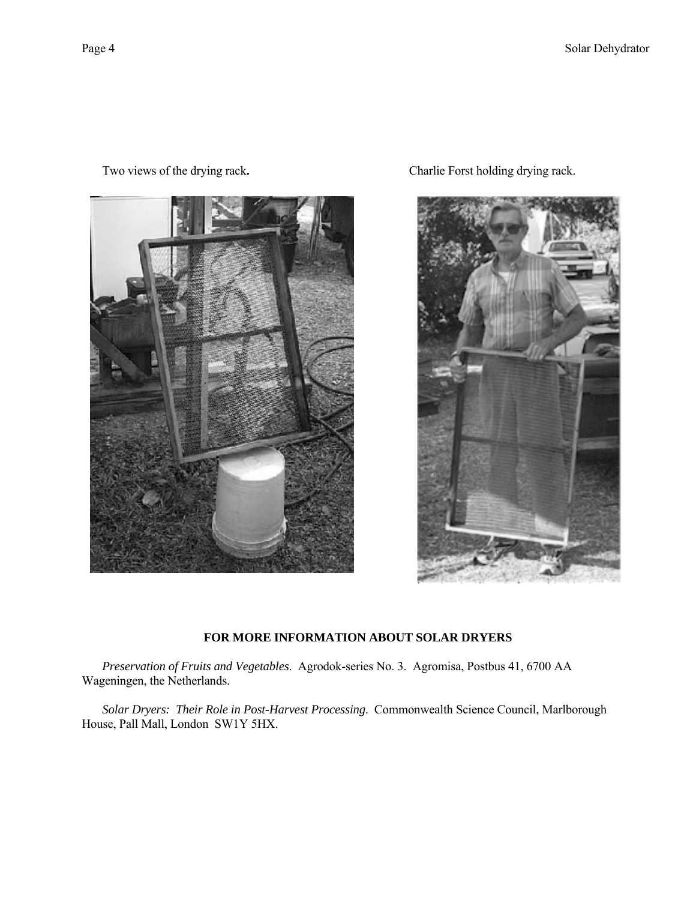

Two views of the drying rack**.** Charlie Forst holding drying rack.



#### **FOR MORE INFORMATION ABOUT SOLAR DRYERS**

*Preservation of Fruits and Vegetables*. Agrodok-series No. 3. Agromisa, Postbus 41, 6700 AA Wageningen, the Netherlands.

*Solar Dryers: Their Role in Post-Harvest Processing*. Commonwealth Science Council, Marlborough House, Pall Mall, London SW1Y 5HX.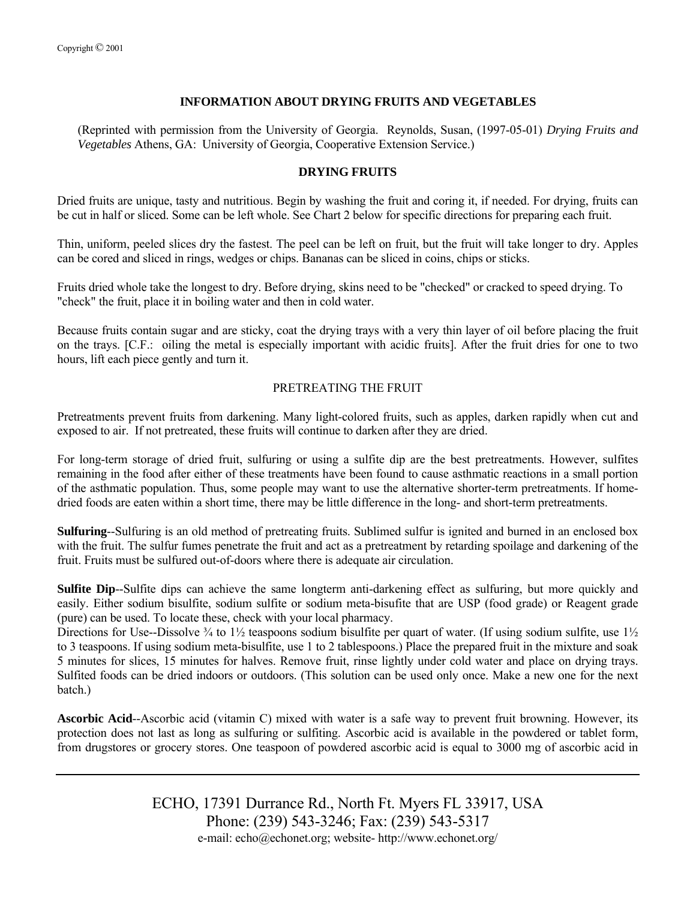#### **INFORMATION ABOUT DRYING FRUITS AND VEGETABLES**

(Reprinted with permission from the University of Georgia. Reynolds, Susan, (1997-05-01) *Drying Fruits and Vegetables* Athens, GA: University of Georgia, Cooperative Extension Service.)

#### **DRYING FRUITS**

Dried fruits are unique, tasty and nutritious. Begin by washing the fruit and coring it, if needed. For drying, fruits can be cut in half or sliced. Some can be left whole. See Chart 2 below for specific directions for preparing each fruit.

Thin, uniform, peeled slices dry the fastest. The peel can be left on fruit, but the fruit will take longer to dry. Apples can be cored and sliced in rings, wedges or chips. Bananas can be sliced in coins, chips or sticks.

Fruits dried whole take the longest to dry. Before drying, skins need to be "checked" or cracked to speed drying. To "check" the fruit, place it in boiling water and then in cold water.

Because fruits contain sugar and are sticky, coat the drying trays with a very thin layer of oil before placing the fruit on the trays. [C.F.: oiling the metal is especially important with acidic fruits]. After the fruit dries for one to two hours, lift each piece gently and turn it.

#### PRETREATING THE FRUIT

Pretreatments prevent fruits from darkening. Many light-colored fruits, such as apples, darken rapidly when cut and exposed to air. If not pretreated, these fruits will continue to darken after they are dried.

For long-term storage of dried fruit, sulfuring or using a sulfite dip are the best pretreatments. However, sulfites remaining in the food after either of these treatments have been found to cause asthmatic reactions in a small portion of the asthmatic population. Thus, some people may want to use the alternative shorter-term pretreatments. If homedried foods are eaten within a short time, there may be little difference in the long- and short-term pretreatments.

**Sulfuring**--Sulfuring is an old method of pretreating fruits. Sublimed sulfur is ignited and burned in an enclosed box with the fruit. The sulfur fumes penetrate the fruit and act as a pretreatment by retarding spoilage and darkening of the fruit. Fruits must be sulfured out-of-doors where there is adequate air circulation.

**Sulfite Dip**--Sulfite dips can achieve the same longterm anti-darkening effect as sulfuring, but more quickly and easily. Either sodium bisulfite, sodium sulfite or sodium meta-bisufite that are USP (food grade) or Reagent grade (pure) can be used. To locate these, check with your local pharmacy.

Directions for Use--Dissolve  $\frac{3}{4}$  to  $\frac{1}{2}$  teaspoons sodium bisulfite per quart of water. (If using sodium sulfite, use  $\frac{1}{2}$ to 3 teaspoons. If using sodium meta-bisulfite, use 1 to 2 tablespoons.) Place the prepared fruit in the mixture and soak 5 minutes for slices, 15 minutes for halves. Remove fruit, rinse lightly under cold water and place on drying trays. Sulfited foods can be dried indoors or outdoors. (This solution can be used only once. Make a new one for the next batch.)

**Ascorbic Acid**--Ascorbic acid (vitamin C) mixed with water is a safe way to prevent fruit browning. However, its protection does not last as long as sulfuring or sulfiting. Ascorbic acid is available in the powdered or tablet form, from drugstores or grocery stores. One teaspoon of powdered ascorbic acid is equal to 3000 mg of ascorbic acid in

> ECHO, 17391 Durrance Rd., North Ft. Myers FL 33917, USA Phone: (239) 543-3246; Fax: (239) 543-5317 e-mail: echo@echonet.org; website- http://www.echonet.org/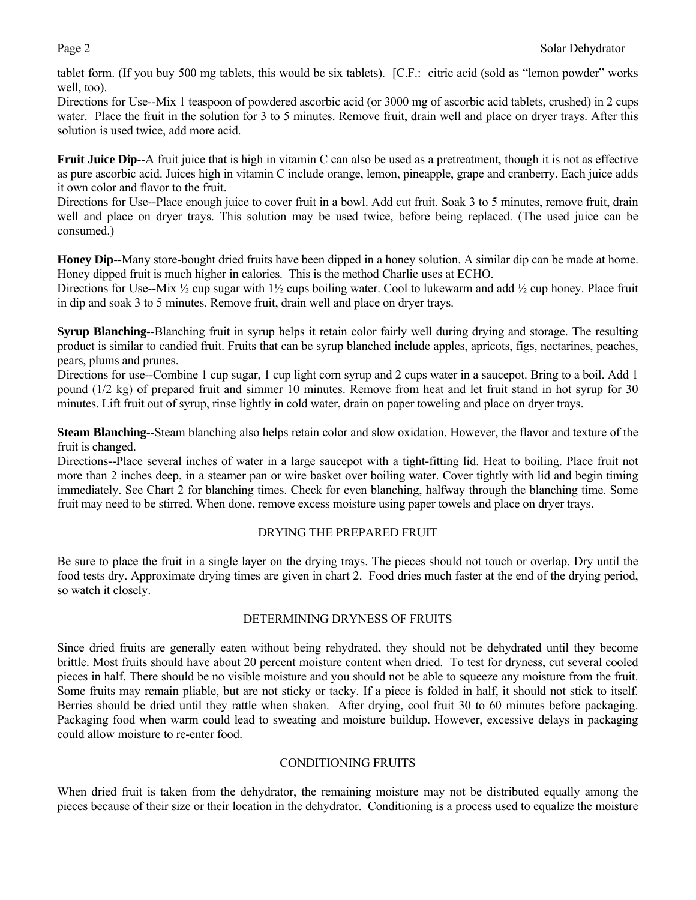tablet form. (If you buy 500 mg tablets, this would be six tablets). [C.F.: citric acid (sold as "lemon powder" works well, too).

Directions for Use--Mix 1 teaspoon of powdered ascorbic acid (or 3000 mg of ascorbic acid tablets, crushed) in 2 cups water. Place the fruit in the solution for 3 to 5 minutes. Remove fruit, drain well and place on dryer trays. After this solution is used twice, add more acid.

**Fruit Juice Dip**--A fruit juice that is high in vitamin C can also be used as a pretreatment, though it is not as effective as pure ascorbic acid. Juices high in vitamin C include orange, lemon, pineapple, grape and cranberry. Each juice adds it own color and flavor to the fruit.

Directions for Use--Place enough juice to cover fruit in a bowl. Add cut fruit. Soak 3 to 5 minutes, remove fruit, drain well and place on dryer trays. This solution may be used twice, before being replaced. (The used juice can be consumed.)

**Honey Dip**--Many store-bought dried fruits have been dipped in a honey solution. A similar dip can be made at home. Honey dipped fruit is much higher in calories. This is the method Charlie uses at ECHO.

Directions for Use--Mix  $\frac{1}{2}$  cup sugar with  $\frac{1}{2}$  cups boiling water. Cool to lukewarm and add  $\frac{1}{2}$  cup honey. Place fruit in dip and soak 3 to 5 minutes. Remove fruit, drain well and place on dryer trays.

**Syrup Blanching**--Blanching fruit in syrup helps it retain color fairly well during drying and storage. The resulting product is similar to candied fruit. Fruits that can be syrup blanched include apples, apricots, figs, nectarines, peaches, pears, plums and prunes.

Directions for use--Combine 1 cup sugar, 1 cup light corn syrup and 2 cups water in a saucepot. Bring to a boil. Add 1 pound (1/2 kg) of prepared fruit and simmer 10 minutes. Remove from heat and let fruit stand in hot syrup for 30 minutes. Lift fruit out of syrup, rinse lightly in cold water, drain on paper toweling and place on dryer trays.

**Steam Blanching**--Steam blanching also helps retain color and slow oxidation. However, the flavor and texture of the fruit is changed.

Directions--Place several inches of water in a large saucepot with a tight-fitting lid. Heat to boiling. Place fruit not more than 2 inches deep, in a steamer pan or wire basket over boiling water. Cover tightly with lid and begin timing immediately. See Chart 2 for blanching times. Check for even blanching, halfway through the blanching time. Some fruit may need to be stirred. When done, remove excess moisture using paper towels and place on dryer trays.

#### DRYING THE PREPARED FRUIT

Be sure to place the fruit in a single layer on the drying trays. The pieces should not touch or overlap. Dry until the food tests dry. Approximate drying times are given in chart 2. Food dries much faster at the end of the drying period, so watch it closely.

#### DETERMINING DRYNESS OF FRUITS

Since dried fruits are generally eaten without being rehydrated, they should not be dehydrated until they become brittle. Most fruits should have about 20 percent moisture content when dried. To test for dryness, cut several cooled pieces in half. There should be no visible moisture and you should not be able to squeeze any moisture from the fruit. Some fruits may remain pliable, but are not sticky or tacky. If a piece is folded in half, it should not stick to itself. Berries should be dried until they rattle when shaken. After drying, cool fruit 30 to 60 minutes before packaging. Packaging food when warm could lead to sweating and moisture buildup. However, excessive delays in packaging could allow moisture to re-enter food.

#### CONDITIONING FRUITS

When dried fruit is taken from the dehydrator, the remaining moisture may not be distributed equally among the pieces because of their size or their location in the dehydrator. Conditioning is a process used to equalize the moisture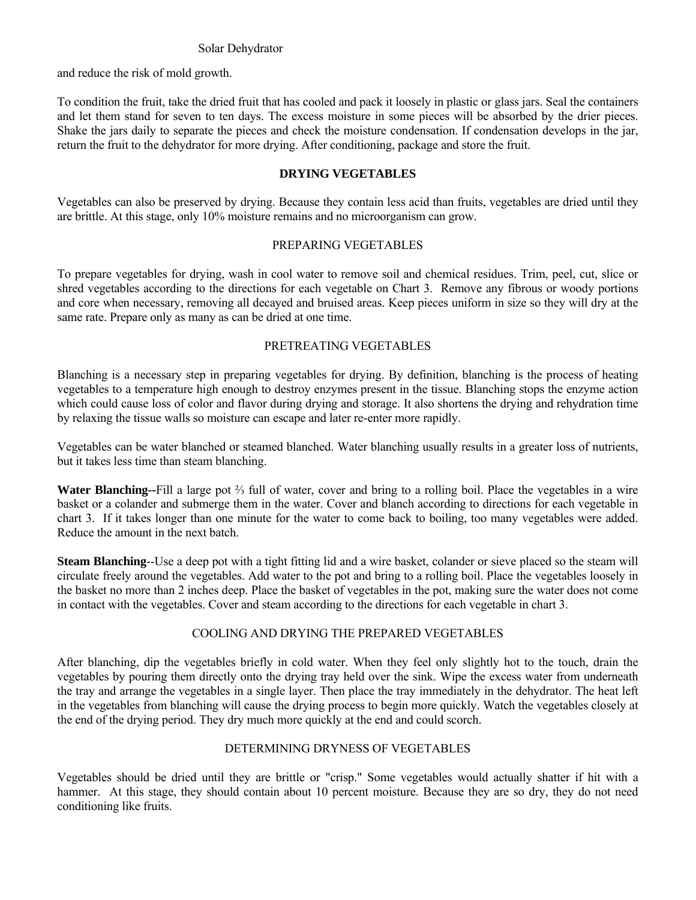#### Solar Dehydrator

and reduce the risk of mold growth.

To condition the fruit, take the dried fruit that has cooled and pack it loosely in plastic or glass jars. Seal the containers and let them stand for seven to ten days. The excess moisture in some pieces will be absorbed by the drier pieces. Shake the jars daily to separate the pieces and check the moisture condensation. If condensation develops in the jar, return the fruit to the dehydrator for more drying. After conditioning, package and store the fruit.

#### **DRYING VEGETABLES**

Vegetables can also be preserved by drying. Because they contain less acid than fruits, vegetables are dried until they are brittle. At this stage, only 10% moisture remains and no microorganism can grow.

#### PREPARING VEGETABLES

To prepare vegetables for drying, wash in cool water to remove soil and chemical residues. Trim, peel, cut, slice or shred vegetables according to the directions for each vegetable on Chart 3. Remove any fibrous or woody portions and core when necessary, removing all decayed and bruised areas. Keep pieces uniform in size so they will dry at the same rate. Prepare only as many as can be dried at one time.

#### PRETREATING VEGETABLES

Blanching is a necessary step in preparing vegetables for drying. By definition, blanching is the process of heating vegetables to a temperature high enough to destroy enzymes present in the tissue. Blanching stops the enzyme action which could cause loss of color and flavor during drying and storage. It also shortens the drying and rehydration time by relaxing the tissue walls so moisture can escape and later re-enter more rapidly.

Vegetables can be water blanched or steamed blanched. Water blanching usually results in a greater loss of nutrients, but it takes less time than steam blanching.

**Water Blanching--**Fill a large pot ⅔ full of water, cover and bring to a rolling boil. Place the vegetables in a wire basket or a colander and submerge them in the water. Cover and blanch according to directions for each vegetable in chart 3. If it takes longer than one minute for the water to come back to boiling, too many vegetables were added. Reduce the amount in the next batch.

**Steam Blanching**--Use a deep pot with a tight fitting lid and a wire basket, colander or sieve placed so the steam will circulate freely around the vegetables. Add water to the pot and bring to a rolling boil. Place the vegetables loosely in the basket no more than 2 inches deep. Place the basket of vegetables in the pot, making sure the water does not come in contact with the vegetables. Cover and steam according to the directions for each vegetable in chart 3.

### COOLING AND DRYING THE PREPARED VEGETABLES

After blanching, dip the vegetables briefly in cold water. When they feel only slightly hot to the touch, drain the vegetables by pouring them directly onto the drying tray held over the sink. Wipe the excess water from underneath the tray and arrange the vegetables in a single layer. Then place the tray immediately in the dehydrator. The heat left in the vegetables from blanching will cause the drying process to begin more quickly. Watch the vegetables closely at the end of the drying period. They dry much more quickly at the end and could scorch.

### DETERMINING DRYNESS OF VEGETABLES

Vegetables should be dried until they are brittle or "crisp." Some vegetables would actually shatter if hit with a hammer. At this stage, they should contain about 10 percent moisture. Because they are so dry, they do not need conditioning like fruits.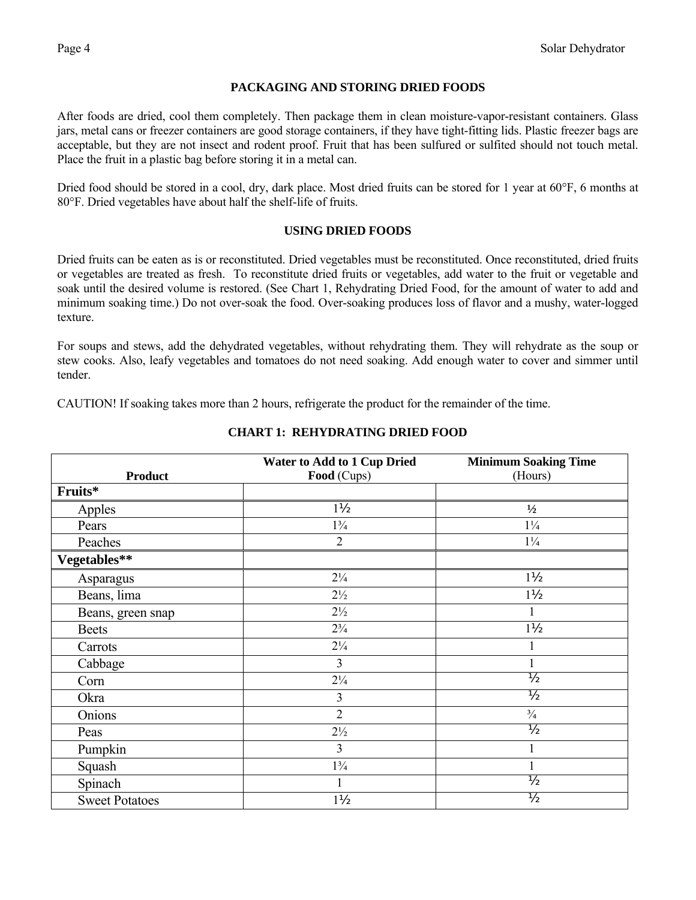### **PACKAGING AND STORING DRIED FOODS**

After foods are dried, cool them completely. Then package them in clean moisture-vapor-resistant containers. Glass jars, metal cans or freezer containers are good storage containers, if they have tight-fitting lids. Plastic freezer bags are acceptable, but they are not insect and rodent proof. Fruit that has been sulfured or sulfited should not touch metal. Place the fruit in a plastic bag before storing it in a metal can.

Dried food should be stored in a cool, dry, dark place. Most dried fruits can be stored for 1 year at 60°F, 6 months at 80°F. Dried vegetables have about half the shelf-life of fruits.

#### **USING DRIED FOODS**

Dried fruits can be eaten as is or reconstituted. Dried vegetables must be reconstituted. Once reconstituted, dried fruits or vegetables are treated as fresh. To reconstitute dried fruits or vegetables, add water to the fruit or vegetable and soak until the desired volume is restored. (See Chart 1, Rehydrating Dried Food, for the amount of water to add and minimum soaking time.) Do not over-soak the food. Over-soaking produces loss of flavor and a mushy, water-logged texture.

For soups and stews, add the dehydrated vegetables, without rehydrating them. They will rehydrate as the soup or stew cooks. Also, leafy vegetables and tomatoes do not need soaking. Add enough water to cover and simmer until tender.

CAUTION! If soaking takes more than 2 hours, refrigerate the product for the remainder of the time.

|                       | <b>Water to Add to 1 Cup Dried</b> | <b>Minimum Soaking Time</b> |
|-----------------------|------------------------------------|-----------------------------|
| <b>Product</b>        | Food (Cups)                        | (Hours)                     |
| Fruits*               |                                    |                             |
| Apples                | $1\frac{1}{2}$                     | $\frac{1}{2}$               |
| Pears                 | $1\frac{3}{4}$                     | $1\frac{1}{4}$              |
| Peaches               | $\overline{2}$                     | $1\frac{1}{4}$              |
| Vegetables**          |                                    |                             |
| Asparagus             | $2\frac{1}{4}$                     | $1\frac{1}{2}$              |
| Beans, lima           | $2\frac{1}{2}$                     | $1\frac{1}{2}$              |
| Beans, green snap     | $2\frac{1}{2}$                     |                             |
| <b>Beets</b>          | $2\frac{3}{4}$                     | $1\frac{1}{2}$              |
| Carrots               | $2\frac{1}{4}$                     |                             |
| Cabbage               | 3                                  |                             |
| Corn                  | $2\frac{1}{4}$                     | $\frac{1}{2}$               |
| Okra                  | 3                                  | $\frac{1}{2}$               |
| Onions                | $\overline{2}$                     | $\frac{3}{4}$               |
| Peas                  | $2\frac{1}{2}$                     | $\frac{1}{2}$               |
| Pumpkin               | 3                                  |                             |
| Squash                | $1\frac{3}{4}$                     |                             |
| Spinach               |                                    | $\frac{1}{2}$               |
| <b>Sweet Potatoes</b> | $1\frac{1}{2}$                     | $\frac{1}{2}$               |

### **CHART 1: REHYDRATING DRIED FOOD**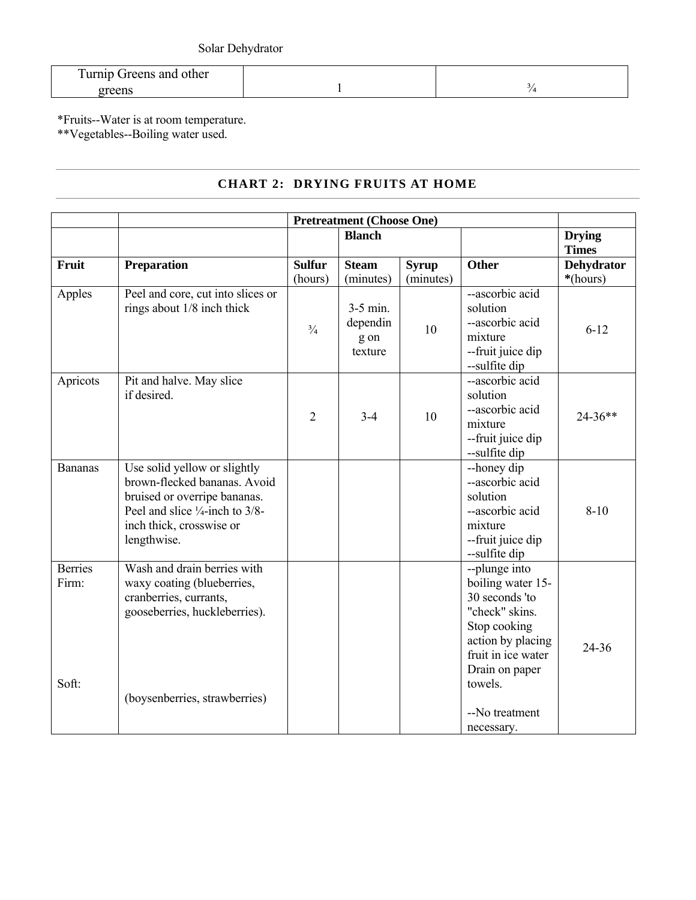| <b>Turnip Greens and other</b> |  |
|--------------------------------|--|
|                                |  |

\*Fruits--Water is at room temperature.

\*\*Vegetables--Boiling water used.

# **CHART 2: DRYING FRUITS AT HOME**

|                                  | <b>Pretreatment (Choose One)</b>                                                                                                                                                      |                          |                                           |                           |                                                                                                                                                                |                               |
|----------------------------------|---------------------------------------------------------------------------------------------------------------------------------------------------------------------------------------|--------------------------|-------------------------------------------|---------------------------|----------------------------------------------------------------------------------------------------------------------------------------------------------------|-------------------------------|
|                                  |                                                                                                                                                                                       |                          | <b>Blanch</b>                             |                           |                                                                                                                                                                | <b>Drying</b><br><b>Times</b> |
| Fruit                            | Preparation                                                                                                                                                                           | <b>Sulfur</b><br>(hours) | <b>Steam</b><br>(minutes)                 | <b>Syrup</b><br>(minutes) | <b>Other</b>                                                                                                                                                   | <b>Dehydrator</b><br>*(hours) |
| Apples                           | Peel and core, cut into slices or<br>rings about 1/8 inch thick                                                                                                                       | $\frac{3}{4}$            | $3-5$ min.<br>dependin<br>g on<br>texture | 10                        | --ascorbic acid<br>solution<br>--ascorbic acid<br>mixture<br>--fruit juice dip<br>--sulfite dip                                                                | $6 - 12$                      |
| Apricots                         | Pit and halve. May slice<br>if desired.                                                                                                                                               | $\overline{2}$           | $3 - 4$                                   | 10                        | --ascorbic acid<br>solution<br>--ascorbic acid<br>mixture<br>--fruit juice dip<br>--sulfite dip                                                                | $24 - 36**$                   |
| <b>Bananas</b>                   | Use solid yellow or slightly<br>brown-flecked bananas. Avoid<br>bruised or overripe bananas.<br>Peel and slice $\frac{1}{4}$ -inch to 3/8-<br>inch thick, crosswise or<br>lengthwise. |                          |                                           |                           | --honey dip<br>--ascorbic acid<br>solution<br>--ascorbic acid<br>mixture<br>--fruit juice dip<br>--sulfite dip                                                 | $8 - 10$                      |
| <b>Berries</b><br>Firm:<br>Soft: | Wash and drain berries with<br>waxy coating (blueberries,<br>cranberries, currants,<br>gooseberries, huckleberries).<br>(boysenberries, strawberries)                                 |                          |                                           |                           | --plunge into<br>boiling water 15-<br>30 seconds 'to<br>"check" skins.<br>Stop cooking<br>action by placing<br>fruit in ice water<br>Drain on paper<br>towels. | 24-36                         |
|                                  |                                                                                                                                                                                       |                          |                                           |                           | --No treatment<br>necessary.                                                                                                                                   |                               |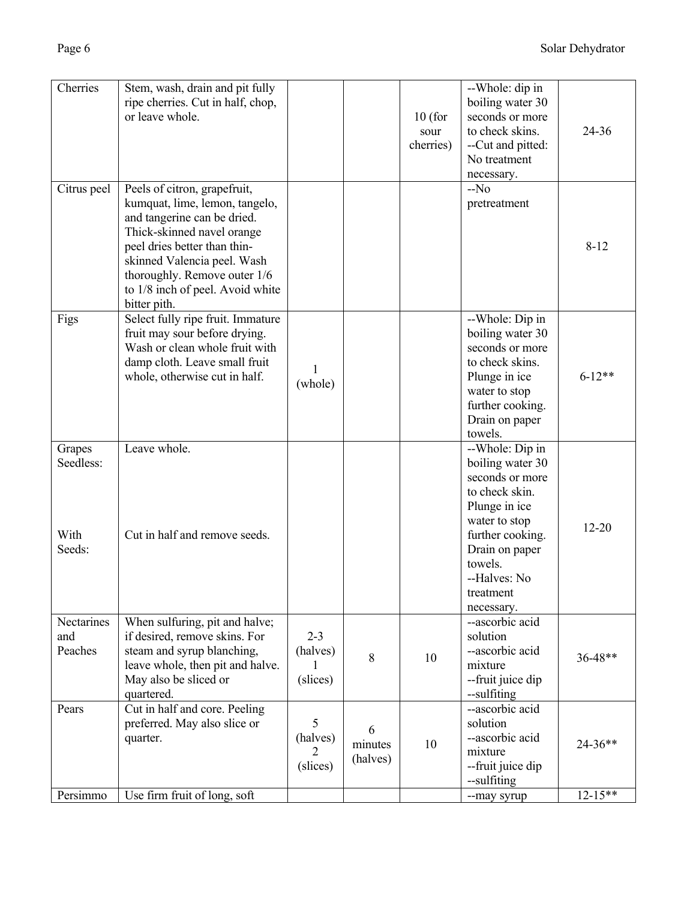| Cherries                              | Stem, wash, drain and pit fully<br>ripe cherries. Cut in half, chop,<br>or leave whole.                                                                                                                                                                                        |                                 |                          | $10$ (for<br>sour<br>cherries) | --Whole: dip in<br>boiling water 30<br>seconds or more<br>to check skins.<br>--Cut and pitted:<br>No treatment<br>necessary.                                                                           | $24 - 36$   |
|---------------------------------------|--------------------------------------------------------------------------------------------------------------------------------------------------------------------------------------------------------------------------------------------------------------------------------|---------------------------------|--------------------------|--------------------------------|--------------------------------------------------------------------------------------------------------------------------------------------------------------------------------------------------------|-------------|
| Citrus peel                           | Peels of citron, grapefruit,<br>kumquat, lime, lemon, tangelo,<br>and tangerine can be dried.<br>Thick-skinned navel orange<br>peel dries better than thin-<br>skinned Valencia peel. Wash<br>thoroughly. Remove outer 1/6<br>to 1/8 inch of peel. Avoid white<br>bitter pith. |                                 |                          |                                | $-No$<br>pretreatment                                                                                                                                                                                  | $8 - 12$    |
| Figs                                  | Select fully ripe fruit. Immature<br>fruit may sour before drying.<br>Wash or clean whole fruit with<br>damp cloth. Leave small fruit<br>whole, otherwise cut in half.                                                                                                         | 1<br>(whole)                    |                          |                                | --Whole: Dip in<br>boiling water 30<br>seconds or more<br>to check skins.<br>Plunge in ice<br>water to stop<br>further cooking.<br>Drain on paper<br>towels.                                           | $6 - 12**$  |
| Grapes<br>Seedless:<br>With<br>Seeds: | Leave whole.<br>Cut in half and remove seeds.                                                                                                                                                                                                                                  |                                 |                          |                                | --Whole: Dip in<br>boiling water 30<br>seconds or more<br>to check skin.<br>Plunge in ice<br>water to stop<br>further cooking.<br>Drain on paper<br>towels.<br>--Halves: No<br>treatment<br>necessary. | $12 - 20$   |
| Nectarines<br>and<br>Peaches          | When sulfuring, pit and halve;<br>if desired, remove skins. For<br>steam and syrup blanching,<br>leave whole, then pit and halve.<br>May also be sliced or<br>quartered.                                                                                                       | $2 - 3$<br>(halves)<br>(slices) | 8                        | 10                             | --ascorbic acid<br>solution<br>--ascorbic acid<br>mixture<br>--fruit juice dip<br>--sulfiting                                                                                                          | 36-48**     |
| Pears                                 | Cut in half and core. Peeling<br>preferred. May also slice or<br>quarter.                                                                                                                                                                                                      | 5<br>(halves)<br>2<br>(slices)  | 6<br>minutes<br>(halves) | 10                             | --ascorbic acid<br>solution<br>--ascorbic acid<br>mixture<br>--fruit juice dip<br>--sulfiting                                                                                                          | $24 - 36**$ |
| Persimmo                              | Use firm fruit of long, soft                                                                                                                                                                                                                                                   |                                 |                          |                                | --may syrup                                                                                                                                                                                            | $12 - 15**$ |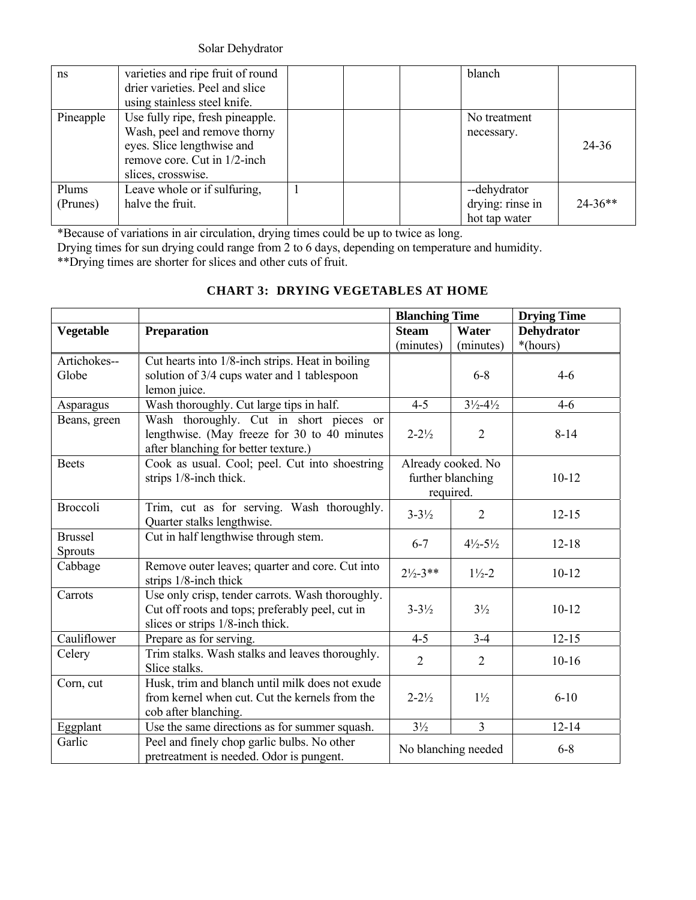Solar Dehydrator

| ns                | varieties and ripe fruit of round<br>drier varieties. Peel and slice<br>using stainless steel knife.                                                 |  | blanch                                            |           |
|-------------------|------------------------------------------------------------------------------------------------------------------------------------------------------|--|---------------------------------------------------|-----------|
| Pineapple         | Use fully ripe, fresh pineapple.<br>Wash, peel and remove thorny<br>eyes. Slice lengthwise and<br>remove core. Cut in 1/2-inch<br>slices, crosswise. |  | No treatment<br>necessary.                        | 24-36     |
| Plums<br>(Prunes) | Leave whole or if sulfuring,<br>halve the fruit.                                                                                                     |  | --dehydrator<br>drying: rinse in<br>hot tap water | $24-36**$ |

\*Because of variations in air circulation, drying times could be up to twice as long.

Drying times for sun drying could range from 2 to 6 days, depending on temperature and humidity.

\*\*Drying times are shorter for slices and other cuts of fruit.

|                  |                                                                                                   | <b>Blanching Time</b> |                               | <b>Drying Time</b> |
|------------------|---------------------------------------------------------------------------------------------------|-----------------------|-------------------------------|--------------------|
| <b>Vegetable</b> | Preparation                                                                                       | <b>Steam</b>          | Water                         | <b>Dehydrator</b>  |
|                  |                                                                                                   | (minutes)             | (minutes)                     | *(hours)           |
| Artichokes--     | Cut hearts into 1/8-inch strips. Heat in boiling                                                  |                       |                               |                    |
| Globe            | solution of 3/4 cups water and 1 tablespoon                                                       |                       | $6 - 8$                       | $4 - 6$            |
|                  | lemon juice.                                                                                      |                       |                               |                    |
| Asparagus        | Wash thoroughly. Cut large tips in half.                                                          | $4 - 5$               | $3\frac{1}{2} - 4\frac{1}{2}$ | $4 - 6$            |
| Beans, green     | Wash thoroughly. Cut in short pieces or                                                           |                       |                               |                    |
|                  | lengthwise. (May freeze for 30 to 40 minutes                                                      | $2 - 2\frac{1}{2}$    | $\overline{2}$                | $8 - 14$           |
|                  | after blanching for better texture.)                                                              |                       |                               |                    |
| <b>Beets</b>     | Cook as usual. Cool; peel. Cut into shoestring                                                    |                       | Already cooked. No            |                    |
|                  | strips 1/8-inch thick.                                                                            |                       | further blanching             | $10 - 12$          |
|                  |                                                                                                   | required.             |                               |                    |
| <b>Broccoli</b>  | Trim, cut as for serving. Wash thoroughly.                                                        | $3 - 3\frac{1}{2}$    | 2                             | $12 - 15$          |
|                  | Quarter stalks lengthwise.                                                                        |                       |                               |                    |
| <b>Brussel</b>   | Cut in half lengthwise through stem.                                                              | $6 - 7$               | $4\frac{1}{2} - 5\frac{1}{2}$ | $12 - 18$          |
| <b>Sprouts</b>   |                                                                                                   |                       |                               |                    |
| Cabbage          | Remove outer leaves; quarter and core. Cut into                                                   | $2\frac{1}{2} - 3**$  | $1\frac{1}{2} - 2$            | $10 - 12$          |
|                  | strips $1/8$ -inch thick                                                                          |                       |                               |                    |
| Carrots          | Use only crisp, tender carrots. Wash thoroughly.                                                  |                       |                               |                    |
|                  | Cut off roots and tops; preferably peel, cut in                                                   | $3 - 3\frac{1}{2}$    | $3\frac{1}{2}$                | $10 - 12$          |
|                  | slices or strips 1/8-inch thick.                                                                  |                       |                               |                    |
| Cauliflower      | Prepare as for serving.                                                                           | $4 - 5$               | $3 - 4$                       | $12 - 15$          |
| Celery           | Trim stalks. Wash stalks and leaves thoroughly.                                                   | $\overline{2}$        | $\overline{2}$                | $10 - 16$          |
|                  | Slice stalks.                                                                                     |                       |                               |                    |
| Corn, cut        | Husk, trim and blanch until milk does not exude<br>from kernel when cut. Cut the kernels from the | $2 - 2\frac{1}{2}$    | $1\frac{1}{2}$                | $6 - 10$           |
|                  |                                                                                                   |                       |                               |                    |
|                  | cob after blanching.                                                                              | $3\frac{1}{2}$        | $\overline{3}$                | $12 - 14$          |
| Eggplant         | Use the same directions as for summer squash.                                                     |                       |                               |                    |
|                  | Peel and finely chop garlic bulbs. No other<br>Garlic<br>pretreatment is needed. Odor is pungent. |                       | No blanching needed           | $6 - 8$            |

# **CHART 3: DRYING VEGETABLES AT HOME**